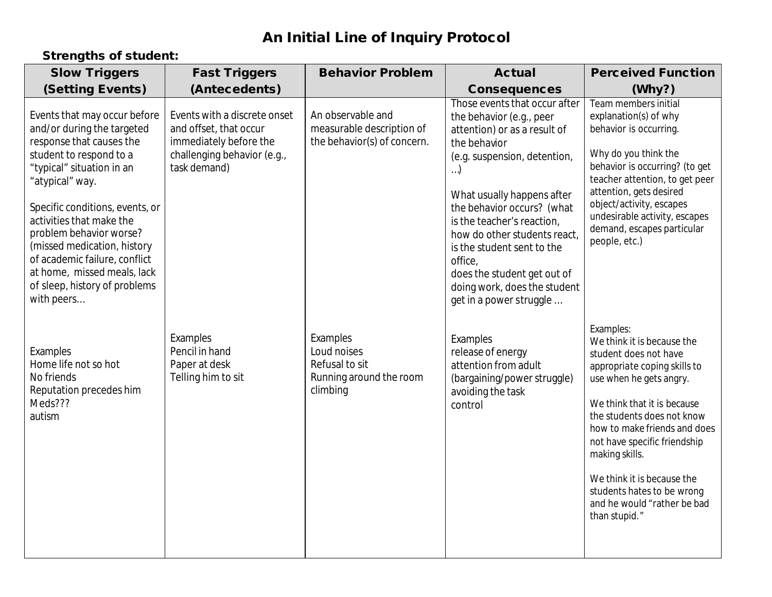## **An Initial Line of Inquiry Protocol**

## **Strengths of student:**

| <b>Slow Triggers</b>                                                                                                                                                                                                                                                                                                                                                                                      | <b>Fast Triggers</b>                                                                                                            | <b>Behavior Problem</b>                                                          | <b>Actual</b>                                                                                                                                                                                                                                                                                                                                                                                                 | <b>Perceived Function</b>                                                                                                                                                                                                                                                                                                                                                              |
|-----------------------------------------------------------------------------------------------------------------------------------------------------------------------------------------------------------------------------------------------------------------------------------------------------------------------------------------------------------------------------------------------------------|---------------------------------------------------------------------------------------------------------------------------------|----------------------------------------------------------------------------------|---------------------------------------------------------------------------------------------------------------------------------------------------------------------------------------------------------------------------------------------------------------------------------------------------------------------------------------------------------------------------------------------------------------|----------------------------------------------------------------------------------------------------------------------------------------------------------------------------------------------------------------------------------------------------------------------------------------------------------------------------------------------------------------------------------------|
| <b>(Setting Events)</b>                                                                                                                                                                                                                                                                                                                                                                                   | (Antecedents)                                                                                                                   |                                                                                  | <b>Consequences</b>                                                                                                                                                                                                                                                                                                                                                                                           | (W <sub>hy</sub> )                                                                                                                                                                                                                                                                                                                                                                     |
| Events that may occur before<br>and/or during the targeted<br>response that causes the<br>student to respond to a<br>"typical" situation in an<br>"atypical" way.<br>Specific conditions, events, or<br>activities that make the<br>problem behavior worse?<br>(missed medication, history<br>of academic failure, conflict<br>at home, missed meals, lack<br>of sleep, history of problems<br>with peers | Events with a discrete onset<br>and offset, that occur<br>immediately before the<br>challenging behavior (e.g.,<br>task demand) | An observable and<br>measurable description of<br>the behavior(s) of concern.    | Those events that occur after<br>the behavior (e.g., peer<br>attention) or as a result of<br>the behavior<br>(e.g. suspension, detention,<br>$)$<br>What usually happens after<br>the behavior occurs? (what<br>is the teacher's reaction,<br>how do other students react,<br>is the student sent to the<br>office,<br>does the student get out of<br>doing work, does the student<br>get in a power struggle | Team members initial<br>explanation(s) of why<br>behavior is occurring.<br>Why do you think the<br>behavior is occurring? (to get<br>teacher attention, to get peer<br>attention, gets desired<br>object/activity, escapes<br>undesirable activity, escapes<br>demand, escapes particular<br>people, etc.)                                                                             |
| Examples<br>Home life not so hot<br>No friends<br>Reputation precedes him<br>Meds???<br>autism                                                                                                                                                                                                                                                                                                            | Examples<br>Pencil in hand<br>Paper at desk<br>Telling him to sit                                                               | Examples<br>Loud noises<br>Refusal to sit<br>Running around the room<br>climbing | Examples<br>release of energy<br>attention from adult<br>(bargaining/power struggle)<br>avoiding the task<br>control                                                                                                                                                                                                                                                                                          | Examples:<br>We think it is because the<br>student does not have<br>appropriate coping skills to<br>use when he gets angry.<br>We think that it is because<br>the students does not know<br>how to make friends and does<br>not have specific friendship<br>making skills.<br>We think it is because the<br>students hates to be wrong<br>and he would "rather be bad<br>than stupid." |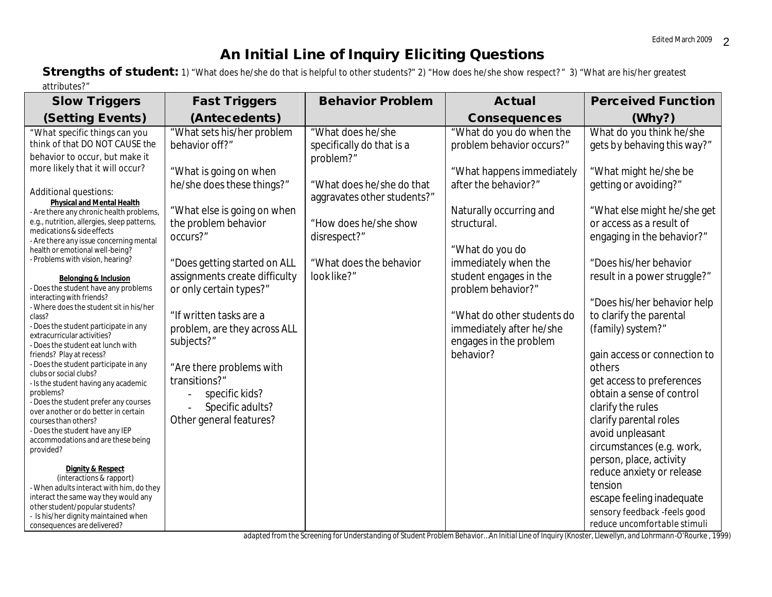## **An Initial Line of Inquiry Eliciting Questions**

**Strengths of student:** 1) "What does he/she do that is helpful to other students?" 2) "How does he/she show respect?" 3) "What are his/her greatest attributes?"

| <b>Slow Triggers</b>                                                                                                                                                                                                                                                                                                                                                                                                                                                                                                                                                                                                                                                                                                                                                        | <b>Fast Triggers</b>                                                                                                                                                                                                                                                | <b>Behavior Problem</b>                                                                                                                                                                                    | <b>Actual</b>                                                                                                                                                                                                                                   | <b>Perceived Function</b>                                                                                                                                                                                                                                                                                                                                                                                                                       |
|-----------------------------------------------------------------------------------------------------------------------------------------------------------------------------------------------------------------------------------------------------------------------------------------------------------------------------------------------------------------------------------------------------------------------------------------------------------------------------------------------------------------------------------------------------------------------------------------------------------------------------------------------------------------------------------------------------------------------------------------------------------------------------|---------------------------------------------------------------------------------------------------------------------------------------------------------------------------------------------------------------------------------------------------------------------|------------------------------------------------------------------------------------------------------------------------------------------------------------------------------------------------------------|-------------------------------------------------------------------------------------------------------------------------------------------------------------------------------------------------------------------------------------------------|-------------------------------------------------------------------------------------------------------------------------------------------------------------------------------------------------------------------------------------------------------------------------------------------------------------------------------------------------------------------------------------------------------------------------------------------------|
| <b>(Setting Events)</b>                                                                                                                                                                                                                                                                                                                                                                                                                                                                                                                                                                                                                                                                                                                                                     | (Antecedents)                                                                                                                                                                                                                                                       |                                                                                                                                                                                                            | <b>Consequences</b>                                                                                                                                                                                                                             | (Why?)                                                                                                                                                                                                                                                                                                                                                                                                                                          |
| "What specific things can you<br>think of that DO NOT CAUSE the<br>behavior to occur, but make it<br>more likely that it will occur?<br>Additional questions:<br><b>Physical and Mental Health</b><br>- Are there any chronic health problems,<br>e.g., nutrition, allergies, sleep patterns,<br>medications & side effects<br>- Are there any issue concerning mental<br>health or emotional well-being?<br>- Problems with vision, hearing?<br><b>Belonging &amp; Inclusion</b><br>- Does the student have any problems<br>interacting with friends?                                                                                                                                                                                                                      | "What sets his/her problem<br>behavior off?"<br>"What is going on when<br>he/she does these things?"<br>"What else is going on when<br>the problem behavior<br>occurs?"<br>"Does getting started on ALL<br>assignments create difficulty<br>or only certain types?" | "What does he/she<br>specifically do that is a<br>problem?"<br>"What does he/she do that<br>aggravates other students?"<br>"How does he/she show<br>disrespect?"<br>"What does the behavior<br>look like?" | "What do you do when the<br>problem behavior occurs?"<br>"What happens immediately<br>after the behavior?"<br>Naturally occurring and<br>structural.<br>"What do you do<br>immediately when the<br>student engages in the<br>problem behavior?" | What do you think he/she<br>gets by behaving this way?"<br>"What might he/she be<br>getting or avoiding?"<br>"What else might he/she get<br>or access as a result of<br>engaging in the behavior?"<br>"Does his/her behavior<br>result in a power struggle?"                                                                                                                                                                                    |
| - Where does the student sit in his/her<br>class?<br>- Does the student participate in any<br>extracurricular activities?<br>- Does the student eat lunch with<br>friends? Play at recess?<br>- Does the student participate in any<br>clubs or social clubs?<br>- Is the student having any academic<br>problems?<br>- Does the student prefer any courses<br>over another or do better in certain<br>courses than others?<br>- Does the student have any IEP<br>accommodations and are these being<br>provided?<br><b>Dignity &amp; Respect</b><br>(interactions & rapport)<br>- When adults interact with him, do they<br>interact the same way they would any<br>other student/popular students?<br>- Is his/her dignity maintained when<br>consequences are delivered? | "If written tasks are a<br>problem, are they across ALL<br>subjects?"<br>"Are there problems with<br>transitions?"<br>specific kids?<br>Specific adults?<br>Other general features?                                                                                 |                                                                                                                                                                                                            | "What do other students do<br>immediately after he/she<br>engages in the problem<br>behavior?                                                                                                                                                   | "Does his/her behavior help<br>to clarify the parental<br>(family) system?"<br>gain access or connection to<br>others<br>get access to preferences<br>obtain a sense of control<br>clarify the rules<br>clarify parental roles<br>avoid unpleasant<br>circumstances (e.g. work,<br>person, place, activity<br>reduce anxiety or release<br>tension<br>escape feeling inadequate<br>sensory feedback -feels good<br>reduce uncomfortable stimuli |

*adapted from the Screening for Understanding of Student Problem Behavior…An Initial Line of Inquiry (Knoster, Llewellyn, and Lohrmann-O'Rourke , 1999)*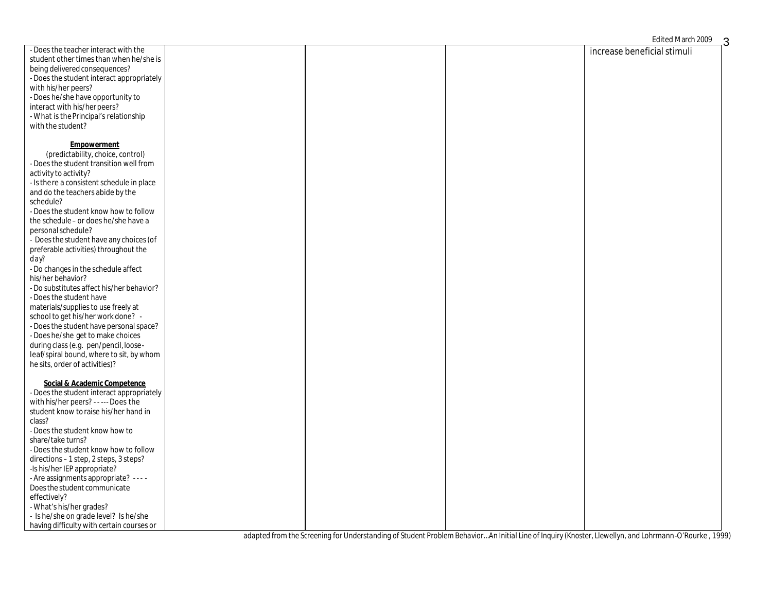| - Does the teacher interact with the      |  |                             |
|-------------------------------------------|--|-----------------------------|
|                                           |  | increase beneficial stimuli |
| student other times than when he/she is   |  |                             |
| being delivered consequences?             |  |                             |
| - Does the student interact appropriately |  |                             |
| with his/her peers?                       |  |                             |
| - Does he/she have opportunity to         |  |                             |
| interact with his/her peers?              |  |                             |
| - What is the Principal's relationship    |  |                             |
| with the student?                         |  |                             |
|                                           |  |                             |
| <b>Empowerment</b>                        |  |                             |
| (predictability, choice, control)         |  |                             |
|                                           |  |                             |
| - Does the student transition well from   |  |                             |
| activity to activity?                     |  |                             |
| - Is there a consistent schedule in place |  |                             |
| and do the teachers abide by the          |  |                             |
| schedule?                                 |  |                             |
| - Does the student know how to follow     |  |                             |
| the schedule - or does he/she have a      |  |                             |
| personal schedule?                        |  |                             |
| - Does the student have any choices (of   |  |                             |
| preferable activities) throughout the     |  |                             |
| day?                                      |  |                             |
|                                           |  |                             |
| - Do changes in the schedule affect       |  |                             |
| his/her behavior?                         |  |                             |
| - Do substitutes affect his/her behavior? |  |                             |
| - Does the student have                   |  |                             |
| materials/supplies to use freely at       |  |                             |
| school to get his/her work done? -        |  |                             |
| - Does the student have personal space?   |  |                             |
| - Does he/she get to make choices         |  |                             |
| during class (e.g. pen/pencil, loose-     |  |                             |
| leaf/spiral bound, where to sit, by whom  |  |                             |
| he sits, order of activities)?            |  |                             |
|                                           |  |                             |
| Social & Academic Competence              |  |                             |
| - Does the student interact appropriately |  |                             |
| with his/her peers? - - --- Does the      |  |                             |
|                                           |  |                             |
| student know to raise his/her hand in     |  |                             |
| class?                                    |  |                             |
| - Does the student know how to            |  |                             |
| share/take turns?                         |  |                             |
| - Does the student know how to follow     |  |                             |
| directions - 1 step, 2 steps, 3 steps?    |  |                             |
| -Is his/her IEP appropriate?              |  |                             |
| - Are assignments appropriate? ----       |  |                             |
| Does the student communicate              |  |                             |
| effectively?                              |  |                             |
| - What's his/her grades?                  |  |                             |
| - Is he/she on grade level? Is he/she     |  |                             |
| having difficulty with certain courses or |  |                             |
|                                           |  |                             |

*adapted from the Screening for Understanding of Student Problem Behavior…An Initial Line of Inquiry (Knoster, Llewellyn, and Lohrmann-O'Rourke , 1999)*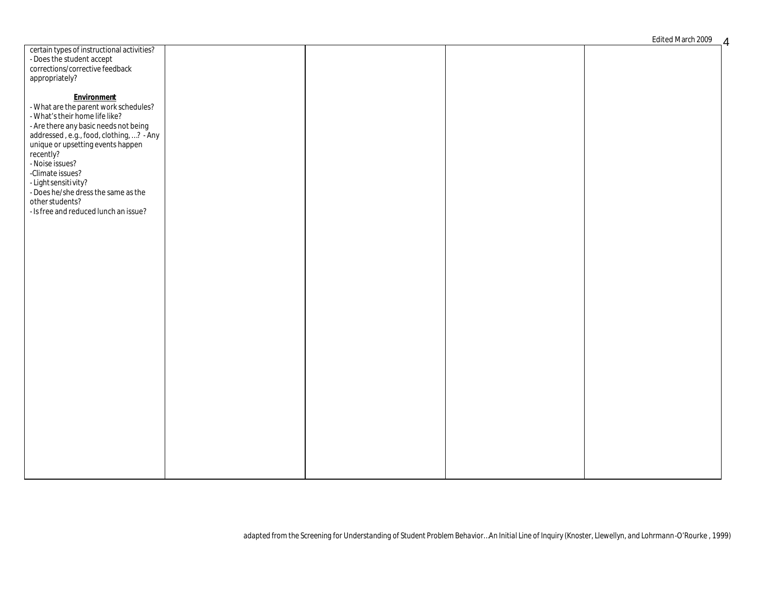| certain types of instructional activities?                  |  |  |
|-------------------------------------------------------------|--|--|
|                                                             |  |  |
| - Does the student accept                                   |  |  |
| corrections/corrective feedback                             |  |  |
|                                                             |  |  |
| appropriately?                                              |  |  |
|                                                             |  |  |
|                                                             |  |  |
| Environment                                                 |  |  |
|                                                             |  |  |
| - What are the parent work schedules?                       |  |  |
| - What's their home life like?                              |  |  |
|                                                             |  |  |
| - Are there any basic needs not being                       |  |  |
| addressed, e.g., food, clothing, ? - Any                    |  |  |
|                                                             |  |  |
| unique or upsetting events happen                           |  |  |
| recently?                                                   |  |  |
|                                                             |  |  |
| - Noise issues?                                             |  |  |
| -Climate issues?                                            |  |  |
|                                                             |  |  |
|                                                             |  |  |
| - Light sensitivity?<br>- Does he/she dress the same as the |  |  |
|                                                             |  |  |
| other students?                                             |  |  |
| - Is free and reduced lunch an issue?                       |  |  |
|                                                             |  |  |
|                                                             |  |  |
|                                                             |  |  |
|                                                             |  |  |
|                                                             |  |  |
|                                                             |  |  |
|                                                             |  |  |
|                                                             |  |  |
|                                                             |  |  |
|                                                             |  |  |
|                                                             |  |  |
|                                                             |  |  |
|                                                             |  |  |
|                                                             |  |  |
|                                                             |  |  |
|                                                             |  |  |
|                                                             |  |  |
|                                                             |  |  |
|                                                             |  |  |
|                                                             |  |  |
|                                                             |  |  |
|                                                             |  |  |
|                                                             |  |  |
|                                                             |  |  |
|                                                             |  |  |
|                                                             |  |  |
|                                                             |  |  |
|                                                             |  |  |
|                                                             |  |  |
|                                                             |  |  |
|                                                             |  |  |
|                                                             |  |  |
|                                                             |  |  |
|                                                             |  |  |
|                                                             |  |  |
|                                                             |  |  |
|                                                             |  |  |
|                                                             |  |  |
|                                                             |  |  |
|                                                             |  |  |
|                                                             |  |  |
|                                                             |  |  |